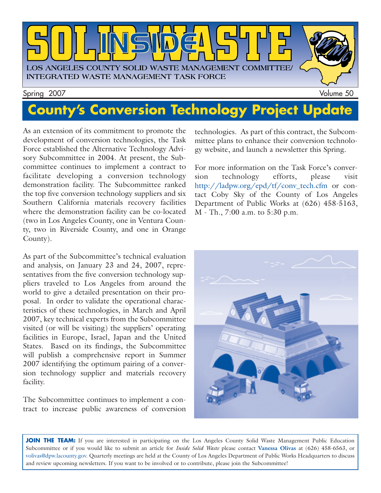

# **County's Conversion Technology Project Update**

As an extension of its commitment to promote the development of conversion technologies, the Task Force established the Alternative Technology Advisory Subcommittee in 2004. At present, the Subcommittee continues to implement a contract to facilitate developing a conversion technology demonstration facility. The Subcommittee ranked the top five conversion technology suppliers and six Southern California materials recovery facilities where the demonstration facility can be co-located (two in Los Angeles County, one in Ventura County, two in Riverside County, and one in Orange County).

As part of the Subcommittee's technical evaluation and analysis, on January 23 and 24, 2007, representatives from the five conversion technology suppliers traveled to Los Angeles from around the world to give a detailed presentation on their proposal. In order to validate the operational characteristics of these technologies, in March and April 2007, key technical experts from the Subcommittee visited (or will be visiting) the suppliers' operating facilities in Europe, Israel, Japan and the United States. Based on its findings, the Subcommittee will publish a comprehensive report in Summer 2007 identifying the optimum pairing of a conversion technology supplier and materials recovery facility.

The Subcommittee continues to implement a contract to increase public awareness of conversion technologies. As part of this contract, the Subcommittee plans to enhance their conversion technology website, and launch a newsletter this Spring.

For more information on the Task Force's conversion technology efforts, please visit [http://ladpw.org/epd/tf/conv\\_tech.cfm](http://ladpw.org/epd/tf/conv_tech.cfm) or contact Coby Sky of the County of Los Angeles Department of Public Works at (626) 458-5163, M - Th., 7:00 a.m. to 5:30 p.m.



JOIN THE TEAM: If you are interested in participating on the Los Angeles County Solid Waste Management Public Education Subcommittee or if you would like to submit an article for *Inside Solid Waste* please contact **Vanessa Olivas** at (626) 458-6563, or [volivas@dpw.lacounty.gov.](mailto://volivas@dpw.lacounty.gov) Quarterly meetings are held at the County of Los Angeles Department of Public Works Headquarters to discuss and review upcoming newsletters. If you want to be involved or to contribute, please join the Subcommittee!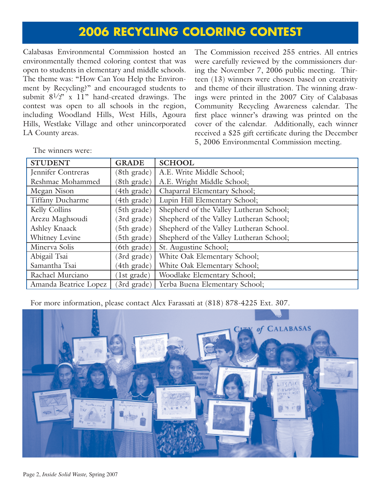### **2006 RECYCLING COLORING CONTEST**

Calabasas Environmental Commission hosted an environmentally themed coloring contest that was open to students in elementary and middle schools. The theme was: "How Can You Help the Environment by Recycling?" and encouraged students to submit  $8^{1/2}$ " x 11" hand-created drawings. The contest was open to all schools in the region, including Woodland Hills, West Hills, Agoura Hills, Westlake Village and other unincorporated LA County areas.

The Commission received 255 entries. All entries were carefully reviewed by the commissioners during the November 7, 2006 public meeting. Thirteen (13) winners were chosen based on creativity and theme of their illustration. The winning drawings were printed in the 2007 City of Calabasas Community Recycling Awareness calendar. The first place winner's drawing was printed on the cover of the calendar. Additionally, each winner received a \$25 gift certificate during the December 5, 2006 Environmental Commission meeting.

STUDENT **GRADE** SCHOOL Jennifer Contreras (8th grade) A.E. Write Middle School; Reshmae Mohammed (8th grade) A.E. Wright Middle School; Megan Nison (4th grade) Chaparral Elementary School; Tiffany Ducharme (4th grade) Lupin Hill Elementary School; Kelly Collins (5th grade) Shepherd of the Valley Lutheran School; Arezu Maghsoudi (3rd grade) Shepherd of the Valley Lutheran School; Ashley Knaack (5th grade) Shepherd of the Valley Lutheran School. Whitney Levine (5th grade) Shepherd of the Valley Lutheran School; Minerva Solis (6th grade) St. Augustine School; Abigail Tsai (3rd grade) White Oak Elementary School; Samantha Tsai (4th grade) White Oak Elementary School; Rachael Murciano (1st grade) Woodlake Elementary School; Amanda Beatrice Lopez (3rd grade) Yerba Buena Elementary School;

The winners were:

For more information, please contact Alex Farassati at (818) 878-4225 Ext. 307.

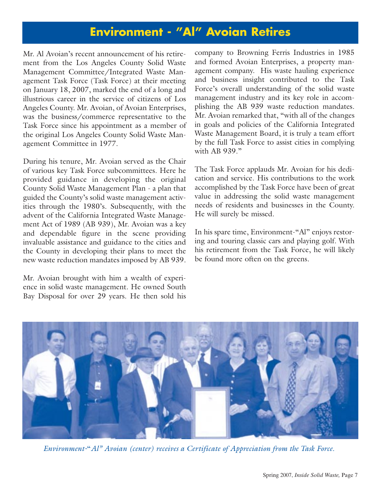### **Environment - "Al" Avoian Retires**

Mr. Al Avoian's recent announcement of his retirement from the Los Angeles County Solid Waste Management Committee/Integrated Waste Management Task Force (Task Force) at their meeting on January 18, 2007, marked the end of a long and illustrious career in the service of citizens of Los Angeles County. Mr. Avoian, of Avoian Enterprises, was the business/commerce representative to the Task Force since his appointment as a member of the original Los Angeles County Solid Waste Management Committee in 1977.

During his tenure, Mr. Avoian served as the Chair of various key Task Force subcommittees. Here he provided guidance in developing the original County Solid Waste Management Plan - a plan that guided the County's solid waste management activities through the 1980's. Subsequently, with the advent of the California Integrated Waste Management Act of 1989 (AB 939), Mr. Avoian was a key and dependable figure in the scene providing invaluable assistance and guidance to the cities and the County in developing their plans to meet the new waste reduction mandates imposed by AB 939.

Mr. Avoian brought with him a wealth of experience in solid waste management. He owned South Bay Disposal for over 29 years. He then sold his company to Browning Ferris Industries in 1985 and formed Avoian Enterprises, a property management company. His waste hauling experience and business insight contributed to the Task Force's overall understanding of the solid waste management industry and its key role in accomplishing the AB 939 waste reduction mandates. Mr. Avoian remarked that, "with all of the changes in goals and policies of the California Integrated Waste Management Board, it is truly a team effort by the full Task Force to assist cities in complying with AB 939."

The Task Force applauds Mr. Avoian for his dedication and service. His contributions to the work accomplished by the Task Force have been of great value in addressing the solid waste management needs of residents and businesses in the County. He will surely be missed.

In his spare time, Environment-"Al" enjoys restoring and touring classic cars and playing golf. With his retirement from the Task Force, he will likely be found more often on the greens.



*Environment-*"*Al" Avoian (center) receives a Certificate of Appreciation from the Task Force.*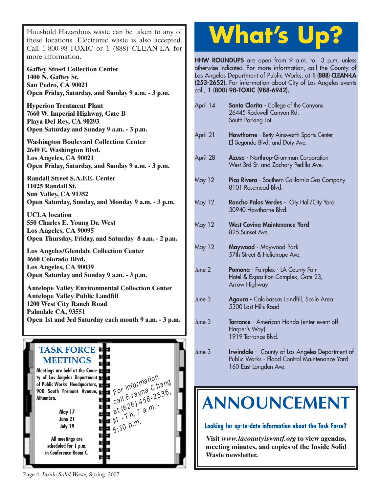Houshold Hazardous waste can be taken to any of these locations. Electronic waste is also accepted. Call 1-800-98-TOXIC or 1 (888) CLEAN-LA for more information.

**Gaffey Street Collection Center 1400 N. Gaffey St. San Pedro, CA 90021 Open Friday, Saturday, and Sunday 9 a.m. - 3 p.m.**

**Hyperion Treatment Plant 7660 W. Imperial Highway, Gate B Playa Del Rey, CA 90293 Open Saturday and Sunday 9 a.m. - 3 p.m.**

**Washington Boulevard Collection Center 2649 E. Washington Blvd. Los Angeles, CA 90021 Open Friday, Saturday, and Sunday 9 a.m. - 3 p.m.**

**Randall Street S.A.F.E. Center 11025 Randall St. Sun Valley, CA 91352 Open Saturday, Sunday, and Monday 9 a.m. - 3 p.m.**

**UCLA location 550 Charles E. Young Dr. West Los Angeles, CA 90095 [Open Thursday, Friday, and Saturday 8 a.m. - 2 p.m.](http://www.lacity.org/san/solid_resources/special/hhw/safe_centers/index.htm)**

**Los Angeles/Glendale Collection Center 4660 Colorado Blvd. Los Angeles, CA 90039 Open Saturday and Sunday 9 a.m. - 3 p.m.**

**Antelope Valley Environmental Collection Center Antelope Valley Public Landfill 1200 West City Ranch Road Palmdale CA, 93551 [Open 1st and 3rd Saturday each month 9 a.m. - 3 p.m.](http://ladpw.org/epd/avecc/index.cfm)**



# **What's Up?**

**HHW ROUNDUPS** are open from 9 a.m. to 3 p.m. unless otherwise indicated. For more information, call the County of Los Angeles Department of Public Works, at **1 (888) CLEAN-LA (253-2652).** For information about City of Los Angeles events call, **1 (800) 98-TOXIC (988-6942).**

| April 14      | <b>Santa Clarita</b> - College of the Canyons<br>26445 Rockwell Canyon Rd.<br>South Parking Lot                                  |  |
|---------------|----------------------------------------------------------------------------------------------------------------------------------|--|
| April 21      | <b>Hawthorne</b> - Betty Ainsworth Sports Center<br>El Segundo Blvd. and Doty Ave.                                               |  |
| April 28      | Azusa - Northrup-Grumman Corporation<br>West 3rd St. and Zachary Pedilla Ave.                                                    |  |
| <b>May 12</b> | Pico Rivera - Southern California Gas Company<br>8101 Rosemead Blvd.                                                             |  |
| <b>May 12</b> | Rancho Palos Verdes - City Hall/City Yard<br>30940 Hawthorne Blvd.                                                               |  |
| <b>May 12</b> | <b>West Coving Maintenance Yard</b><br>825 Sunset Ave.                                                                           |  |
| <b>May 12</b> | Maywood - Maywood Park<br>57th Street & Heliotrope Ave.                                                                          |  |
| June 2        | Pomona - Fairplex - LA County Fair<br>Hotel & Exposition Complex, Gate 23,<br>Arrow Highway                                      |  |
| June 3        | Agoura - Calabassas Landfill, Scale Area<br>5300 Lost Hills Road                                                                 |  |
| June 3        | <b>Torrance</b> - American Honda (enter event off<br>Harper's Way)<br>1919 Torrance Blvd.                                        |  |
| June 3        | <b>Irwindale</b> - County of Los Angeles Department of<br>Public Works - Flood Control Maintenance Yard<br>160 East Longden Ave. |  |

# **[ANNOUNCEMENT](http://ladpw.org/epd/tf/)**

**Looking for up-to-date information about the Task Force?**

**Visit** *www.lacountyiswmtf.org* **to view agendas, meeting minutes, and copies of the Inside Solid Waste newsletter.**

Page 4, *Inside Solid Waste,* Spring 2007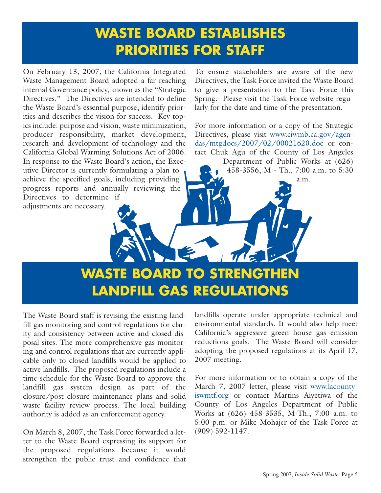## **WASTE BOARD ESTABLISHES PRIORITIES FOR STAFF**

On February 13, 2007, the California Integrated Waste Management Board adopted a far reaching internal Governance policy, known as the "Strategic Directives." The Directives are intended to define the Waste Board's essential purpose, identify priorities and describes the vision for success. Key topics include: purpose and vision, waste minimization, producer responsibility, market development, research and development of technology and the California Global Warming Solutions Act of 2006. In response to the Waste Board's action, the Executive Director is currently formulating a plan to achieve the specified goals, including providing progress reports and annually reviewing the Directives to determine if adjustments are necessary.

To ensure stakeholders are aware of the new Directives, the Task Force invited the Waste Board to give a presentation to the Task Force this Spring. Please visit the Task Force website regularly for the date and time of the presentation.

For more information or a copy of the Strategic [Directives, please visit www.ciwmb.ca.gov/agen](http://www.ciwmb.ca.gov/agendas/mtgdocs/2007/02/00021620.doc)das/mtgdocs/2007/02/00021620.doc or contact Chuk Agu of the County of Los Angeles Department of Public Works at (626) 458-3556, M - Th., 7:00 a.m. to 5:30

a.m.

**WASTE BOARD TO STRENGTHEN LANDFILL GAS REGULATIONS**

The Waste Board staff is revising the existing landfill gas monitoring and control regulations for clarity and consistency between active and closed disposal sites. The more comprehensive gas monitoring and control regulations that are currently applicable only to closed landfills would be applied to active landfills. The proposed regulations include a time schedule for the Waste Board to approve the landfill gas system design as part of the closure/post closure maintenance plans and solid waste facility review process. The local building authority is added as an enforcement agency.

On March 8, 2007, the Task Force forwarded a letter to the Waste Board expressing its support for the proposed regulations because it would strengthen the public trust and confidence that landfills operate under appropriate technical and environmental standards. It would also help meet California's aggressive green house gas emission reductions goals. The Waste Board will consider adopting the proposed regulations at its April 17, 2007 meeting.

For more information or to obtain a copy of the [March 7, 2007 letter, please visit www.lacounty](http://www.lacountyiswmtf.org)iswmtf.org or contact Martins Aiyetiwa of the County of Los Angeles Department of Public Works at (626) 458-3535, M-Th., 7:00 a.m. to 5:00 p.m. or Mike Mohajer of the Task Force at (909) 592-1147.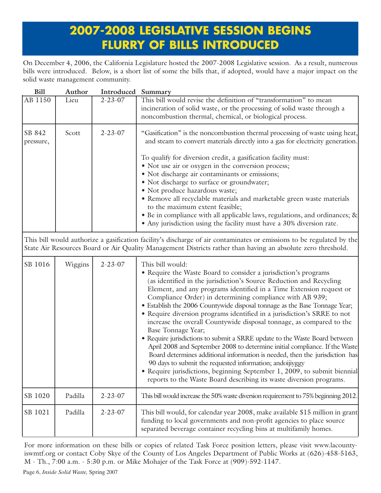### **2007-2008 LEGISLATIVE SESSION BEGINS FLURRY OF BILLS INTRODUCED**

On December 4, 2006, the California Legislature hosted the 2007-2008 Legislative session. As a result, numerous bills were introduced. Below, is a short list of some the bills that, if adopted, would have a major impact on the solid waste management community.

| <b>Bill</b>         | Author  | Introduced Summary |                                                                                                                                                                                                                                                                                                                                                                                                                                                                                                                                                                                                                                                                                                                                                                                                                                                                                                                                                                                                                  |
|---------------------|---------|--------------------|------------------------------------------------------------------------------------------------------------------------------------------------------------------------------------------------------------------------------------------------------------------------------------------------------------------------------------------------------------------------------------------------------------------------------------------------------------------------------------------------------------------------------------------------------------------------------------------------------------------------------------------------------------------------------------------------------------------------------------------------------------------------------------------------------------------------------------------------------------------------------------------------------------------------------------------------------------------------------------------------------------------|
| AB 1150             | Lieu    | $2 - 23 - 07$      | This bill would revise the definition of "transformation" to mean<br>incineration of solid waste, or the processing of solid waste through a                                                                                                                                                                                                                                                                                                                                                                                                                                                                                                                                                                                                                                                                                                                                                                                                                                                                     |
|                     |         |                    | noncombustion thermal, chemical, or biological process.                                                                                                                                                                                                                                                                                                                                                                                                                                                                                                                                                                                                                                                                                                                                                                                                                                                                                                                                                          |
| SB 842<br>pressure, | Scott   | $2 - 23 - 07$      | "Gasification" is the noncombustion thermal processing of waste using heat,<br>and steam to convert materials directly into a gas for electricity generation.                                                                                                                                                                                                                                                                                                                                                                                                                                                                                                                                                                                                                                                                                                                                                                                                                                                    |
|                     |         |                    | To qualify for diversion credit, a gasification facility must:<br>• Not use air or oxygen in the conversion process;<br>• Not discharge air contaminants or emissions;                                                                                                                                                                                                                                                                                                                                                                                                                                                                                                                                                                                                                                                                                                                                                                                                                                           |
|                     |         |                    | • Not discharge to surface or groundwater;<br>· Not produce hazardous waste;<br>• Remove all recyclable materials and marketable green waste materials                                                                                                                                                                                                                                                                                                                                                                                                                                                                                                                                                                                                                                                                                                                                                                                                                                                           |
|                     |         |                    | to the maximum extent feasible;<br>• Be in compliance with all applicable laws, regulations, and ordinances; &<br>• Any jurisdiction using the facility must have a 30% diversion rate.                                                                                                                                                                                                                                                                                                                                                                                                                                                                                                                                                                                                                                                                                                                                                                                                                          |
|                     |         |                    | This bill would authorize a gasification facility's discharge of air contaminates or emissions to be regulated by the<br>State Air Resources Board or Air Quality Management Districts rather than having an absolute zero threshold.                                                                                                                                                                                                                                                                                                                                                                                                                                                                                                                                                                                                                                                                                                                                                                            |
| SB 1016             | Wiggins | $2 - 23 - 07$      | This bill would:<br>• Require the Waste Board to consider a jurisdiction's programs<br>(as identified in the jurisdiction's Source Reduction and Recycling<br>Element, and any programs identified in a Time Extension request or<br>Compliance Order) in determining compliance with AB 939;<br>• Establish the 2006 Countywide disposal tonnage as the Base Tonnage Year;<br>• Require diversion programs identified in a jurisdiction's SRRE to not<br>increase the overall Countywide disposal tonnage, as compared to the<br>Base Tonnage Year;<br>• Require jurisdictions to submit a SRRE update to the Waste Board between<br>April 2008 and September 2008 to determine initial compliance. If the Waste<br>Board determines additional information is needed, then the jurisdiction has<br>90 days to submit the requested information; andoijiyggy<br>• Require jurisdictions, beginning September 1, 2009, to submit biennial<br>reports to the Waste Board describing its waste diversion programs. |
| SB 1020             | Padilla | $2 - 23 - 07$      | This bill would increase the 50% waste diversion requirement to 75% beginning 2012.                                                                                                                                                                                                                                                                                                                                                                                                                                                                                                                                                                                                                                                                                                                                                                                                                                                                                                                              |
| SB 1021             | Padilla | $2 - 23 - 07$      | This bill would, for calendar year 2008, make available \$15 million in grant<br>funding to local governments and non-profit agencies to place source<br>separated beverage container recycling bins at multifamily homes.                                                                                                                                                                                                                                                                                                                                                                                                                                                                                                                                                                                                                                                                                                                                                                                       |

For more information on these bills or copies of related Task Force position letters, please visit [www.lacounty](http://ladpw.org/epd/tf/)[iswmtf.org o](http://ladpw.org/epd/tf/)r contact Coby Skye of the County of Los Angeles Department of Public Works at (626)-458-5163, M - Th., 7:00 a.m. - 5:30 p.m. or Mike Mohajer of the Task Force at (909)-592-1147.

Page 6, *Inside Solid Waste,* Spring 2007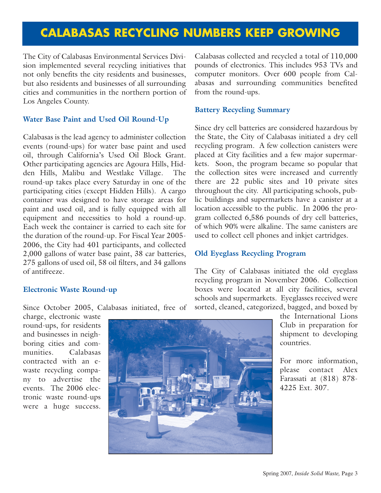### **CALABASAS RECYCLING NUMBERS KEEP GROWING**

The City of Calabasas Environmental Services Division implemented several recycling initiatives that not only benefits the city residents and businesses, but also residents and businesses of all surrounding cities and communities in the northern portion of Los Angeles County.

#### **Water Base Paint and Used Oil Round-Up**

Calabasas is the lead agency to administer collection events (round-ups) for water base paint and used oil, through California's Used Oil Block Grant. Other participating agencies are Agoura Hills, Hidden Hills, Malibu and Westlake Village. The round-up takes place every Saturday in one of the participating cities (except Hidden Hills). A cargo container was designed to have storage areas for paint and used oil, and is fully equipped with all equipment and necessities to hold a round-up. Each week the container is carried to each site for the duration of the round-up. For Fiscal Year 2005- 2006, the City had 401 participants, and collected 2,000 gallons of water base paint, 38 car batteries, 275 gallons of used oil, 58 oil filters, and 34 gallons of antifreeze.

#### **Electronic Waste Round-up**

Since October 2005, Calabasas initiated, free of

charge, electronic waste round-ups, for residents and businesses in neighboring cities and communities. Calabasas contracted with an ewaste recycling company to advertise the events. The 2006 electronic waste round-ups were a huge success.

Calabasas collected and recycled a total of 110,000 pounds of electronics. This includes 953 TVs and computer monitors. Over 600 people from Calabasas and surrounding communities benefited from the round-ups.

#### **Battery Recycling Summary**

Since dry cell batteries are considered hazardous by the State, the City of Calabasas initiated a dry cell recycling program. A few collection canisters were placed at City facilities and a few major supermarkets. Soon, the program became so popular that the collection sites were increased and currently there are 22 public sites and 10 private sites throughout the city. All participating schools, public buildings and supermarkets have a canister at a location accessible to the public. In 2006 the program collected 6,586 pounds of dry cell batteries, of which 90% were alkaline. The same canisters are used to collect cell phones and inkjet cartridges.

#### **Old Eyeglass Recycling Program**

The City of Calabasas initiated the old eyeglass recycling program in November 2006. Collection boxes were located at all city facilities, several schools and supermarkets. Eyeglasses received were sorted, cleaned, categorized, bagged, and boxed by

> the International Lions Club in preparation for shipment to developing countries.

> For more information, please contact Alex Farassati at (818) 878- 4225 Ext. 307.